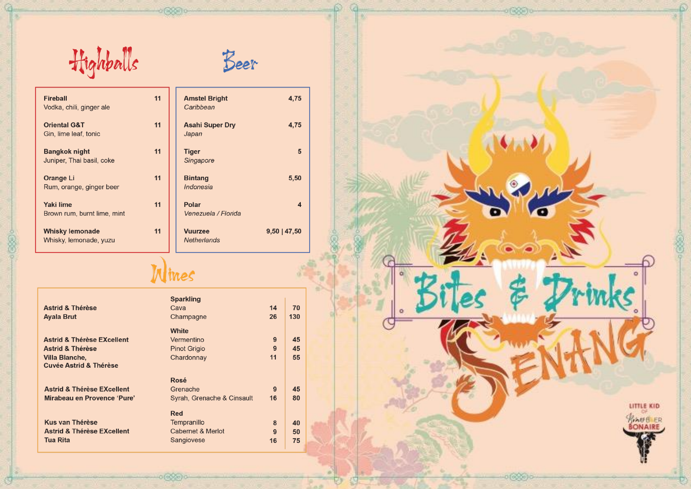Highballs



le.

| Fireball<br>Vodka, chili, ginger ale              | 11 | <b>Amstel Bright</b><br>Caribbean    | 4.75                    |
|---------------------------------------------------|----|--------------------------------------|-------------------------|
| <b>Oriental G&amp;T</b><br>Gin, lime leaf, tonic  | 11 | <b>Asahi Super Dry</b><br>Japan      | 4,75                    |
| <b>Bangkok night</b><br>Juniper, Thai basil, coke | 11 | <b>Tiger</b><br>Singapore            | 5                       |
| <b>Orange Li</b><br>Rum, orange, ginger beer      | 11 | <b>Bintang</b><br>Indonesia          | 5,50                    |
| <b>Yaki lime</b><br>Brown rum, burnt lime, mint   | 11 | Polar<br>Venezuela / Florida         | $\overline{\mathbf{4}}$ |
| <b>Whisky lemonade</b><br>Whisky, lemonade, yuzu  | 11 | <b>Vuurzee</b><br><b>Netherlands</b> | $9,50$   47,50          |

## Wines

|                                       | <b>Sparkling</b>           |    |     |  |
|---------------------------------------|----------------------------|----|-----|--|
| <b>Astrid &amp; Thérèse</b>           | Cava                       | 14 | 70  |  |
| <b>Ayala Brut</b>                     | Champagne                  | 26 | 130 |  |
|                                       | White                      |    |     |  |
| <b>Astrid &amp; Thérèse EXcellent</b> | Vermentino                 | 9  | 45  |  |
| <b>Astrid &amp; Thérèse</b>           | <b>Pinot Grigio</b>        | 9  | 45  |  |
| Villa Blanche,                        | Chardonnay                 | 11 | 55  |  |
| Cuvée Astrid & Thérèse                |                            |    |     |  |
|                                       | Rosé                       |    |     |  |
| <b>Astrid &amp; Thérèse EXcellent</b> | Grenache                   | 9  | 45  |  |
| Mirabeau en Provence 'Pure'           | Syrah, Grenache & Cinsault | 16 | 80  |  |
|                                       | <b>Red</b>                 |    |     |  |
| <b>Kus van Thérèse</b>                | Tempranillo                | 8  | 40  |  |
| <b>Astrid &amp; Thérèse EXcellent</b> | Cabernet & Merlot          | 9  | 50  |  |
| Tua Rita                              | Sangiovese                 | 16 | 75  |  |
|                                       |                            |    |     |  |